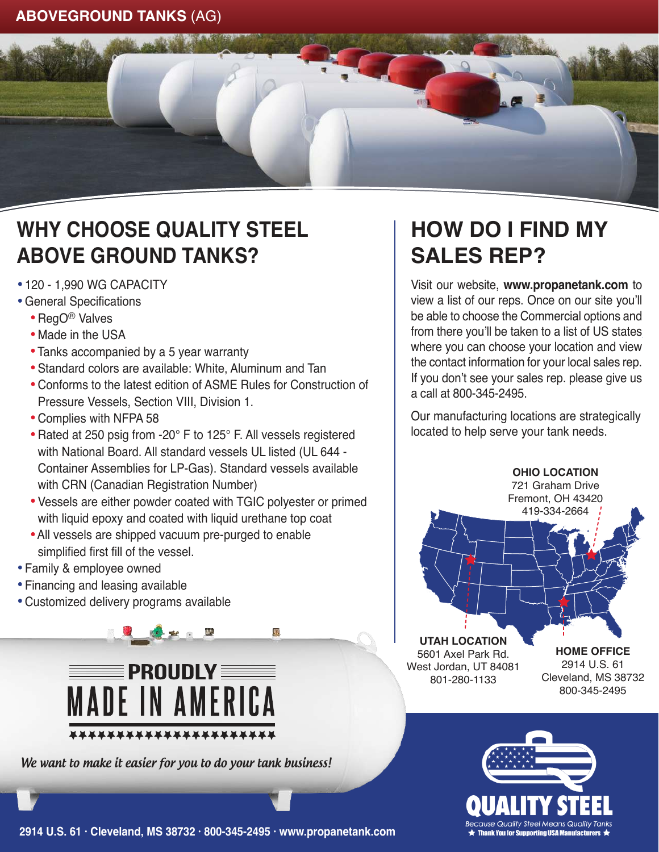## **ABOVEGROUND TANKS** (AG)



## **WHY CHOOSE QUALITY STEEL ABOVE GROUND TANKS?**

- · 120 1,990 WG CAPACITY
- · General Specifications
	- · RegO® Valves
	- Made in the USA
	- · Tanks accompanied by a 5 year warranty
	- · Standard colors are available: White, Aluminum and Tan
	- · Conforms to the latest edition of ASME Rules for Construction of Pressure Vessels, Section VIII, Division 1.
	- · Complies with NFPA 58
	- · Rated at 250 psig from -20° F to 125° F. All vessels registered with National Board. All standard vessels UL listed (UL 644 - Container Assemblies for LP-Gas). Standard vessels available with CRN (Canadian Registration Number)
	- · Vessels are either powder coated with TGIC polyester or primed with liquid epoxy and coated with liquid urethane top coat

J.

- · All vessels are shipped vacuum pre-purged to enable simplified first fill of the vessel.
- · Family & employee owned
- · Financing and leasing available
- · Customized delivery programs available



We want to make it easier for you to do your tank business!

## **HOW DO I FIND MY SALES REP?**

Visit our website, **www.propanetank.com** to view a list of our reps. Once on our site you'll be able to choose the Commercial options and from there you'll be taken to a list of US states where you can choose your location and view the contact information for your local sales rep. If you don't see your sales rep. please give us a call at 800-345-2495.

Our manufacturing locations are strategically located to help serve your tank needs.





**2914 U.S. 61 · Cleveland, MS 38732 · 800-345-2495 · www.propanetank.com**